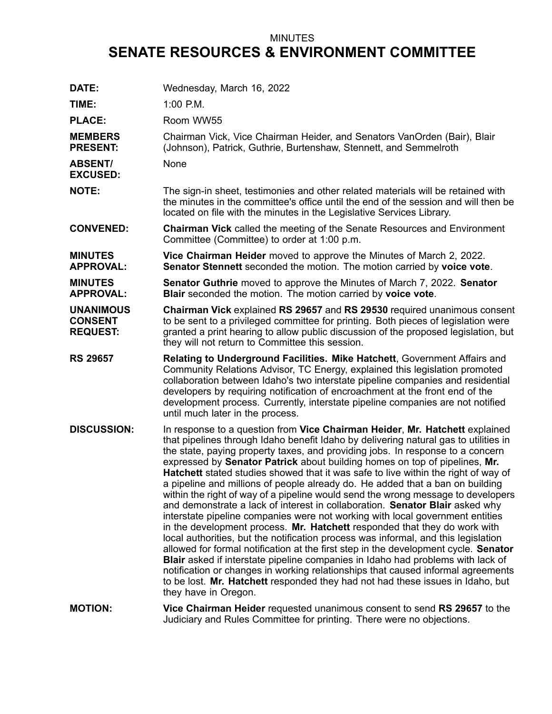## MINUTES **SENATE RESOURCES & ENVIRONMENT COMMITTEE**

| DATE:                                                 | Wednesday, March 16, 2022                                                                                                                                                                                                                                                                                                                                                                                                                                                                                                                                                                                                                                                                                                                                                                                                                                                                                                                                                                                                                                                                                                                                                                                                                                                                                         |
|-------------------------------------------------------|-------------------------------------------------------------------------------------------------------------------------------------------------------------------------------------------------------------------------------------------------------------------------------------------------------------------------------------------------------------------------------------------------------------------------------------------------------------------------------------------------------------------------------------------------------------------------------------------------------------------------------------------------------------------------------------------------------------------------------------------------------------------------------------------------------------------------------------------------------------------------------------------------------------------------------------------------------------------------------------------------------------------------------------------------------------------------------------------------------------------------------------------------------------------------------------------------------------------------------------------------------------------------------------------------------------------|
| TIME:                                                 | $1:00$ P.M.                                                                                                                                                                                                                                                                                                                                                                                                                                                                                                                                                                                                                                                                                                                                                                                                                                                                                                                                                                                                                                                                                                                                                                                                                                                                                                       |
| <b>PLACE:</b>                                         | Room WW55                                                                                                                                                                                                                                                                                                                                                                                                                                                                                                                                                                                                                                                                                                                                                                                                                                                                                                                                                                                                                                                                                                                                                                                                                                                                                                         |
| <b>MEMBERS</b><br><b>PRESENT:</b>                     | Chairman Vick, Vice Chairman Heider, and Senators VanOrden (Bair), Blair<br>(Johnson), Patrick, Guthrie, Burtenshaw, Stennett, and Semmelroth                                                                                                                                                                                                                                                                                                                                                                                                                                                                                                                                                                                                                                                                                                                                                                                                                                                                                                                                                                                                                                                                                                                                                                     |
| <b>ABSENT/</b><br><b>EXCUSED:</b>                     | None                                                                                                                                                                                                                                                                                                                                                                                                                                                                                                                                                                                                                                                                                                                                                                                                                                                                                                                                                                                                                                                                                                                                                                                                                                                                                                              |
| <b>NOTE:</b>                                          | The sign-in sheet, testimonies and other related materials will be retained with<br>the minutes in the committee's office until the end of the session and will then be<br>located on file with the minutes in the Legislative Services Library.                                                                                                                                                                                                                                                                                                                                                                                                                                                                                                                                                                                                                                                                                                                                                                                                                                                                                                                                                                                                                                                                  |
| <b>CONVENED:</b>                                      | <b>Chairman Vick</b> called the meeting of the Senate Resources and Environment<br>Committee (Committee) to order at 1:00 p.m.                                                                                                                                                                                                                                                                                                                                                                                                                                                                                                                                                                                                                                                                                                                                                                                                                                                                                                                                                                                                                                                                                                                                                                                    |
| <b>MINUTES</b><br><b>APPROVAL:</b>                    | Vice Chairman Heider moved to approve the Minutes of March 2, 2022.<br>Senator Stennett seconded the motion. The motion carried by voice vote.                                                                                                                                                                                                                                                                                                                                                                                                                                                                                                                                                                                                                                                                                                                                                                                                                                                                                                                                                                                                                                                                                                                                                                    |
| <b>MINUTES</b><br><b>APPROVAL:</b>                    | Senator Guthrie moved to approve the Minutes of March 7, 2022. Senator<br>Blair seconded the motion. The motion carried by voice vote.                                                                                                                                                                                                                                                                                                                                                                                                                                                                                                                                                                                                                                                                                                                                                                                                                                                                                                                                                                                                                                                                                                                                                                            |
| <b>UNANIMOUS</b><br><b>CONSENT</b><br><b>REQUEST:</b> | Chairman Vick explained RS 29657 and RS 29530 required unanimous consent<br>to be sent to a privileged committee for printing. Both pieces of legislation were<br>granted a print hearing to allow public discussion of the proposed legislation, but<br>they will not return to Committee this session.                                                                                                                                                                                                                                                                                                                                                                                                                                                                                                                                                                                                                                                                                                                                                                                                                                                                                                                                                                                                          |
| <b>RS 29657</b>                                       | Relating to Underground Facilities. Mike Hatchett, Government Affairs and<br>Community Relations Advisor, TC Energy, explained this legislation promoted<br>collaboration between Idaho's two interstate pipeline companies and residential<br>developers by requiring notification of encroachment at the front end of the<br>development process. Currently, interstate pipeline companies are not notified<br>until much later in the process.                                                                                                                                                                                                                                                                                                                                                                                                                                                                                                                                                                                                                                                                                                                                                                                                                                                                 |
| <b>DISCUSSION:</b>                                    | In response to a question from Vice Chairman Heider, Mr. Hatchett explained<br>that pipelines through Idaho benefit Idaho by delivering natural gas to utilities in<br>the state, paying property taxes, and providing jobs. In response to a concern<br>expressed by Senator Patrick about building homes on top of pipelines, Mr.<br><b>Hatchett</b> stated studies showed that it was safe to live within the right of way of<br>a pipeline and millions of people already do. He added that a ban on building<br>within the right of way of a pipeline would send the wrong message to developers<br>and demonstrate a lack of interest in collaboration. Senator Blair asked why<br>interstate pipeline companies were not working with local government entities<br>in the development process. Mr. Hatchett responded that they do work with<br>local authorities, but the notification process was informal, and this legislation<br>allowed for formal notification at the first step in the development cycle. Senator<br>Blair asked if interstate pipeline companies in Idaho had problems with lack of<br>notification or changes in working relationships that caused informal agreements<br>to be lost. Mr. Hatchett responded they had not had these issues in Idaho, but<br>they have in Oregon. |
| <b>MOTION:</b>                                        | Vice Chairman Heider requested unanimous consent to send RS 29657 to the<br>Judiciary and Rules Committee for printing. There were no objections.                                                                                                                                                                                                                                                                                                                                                                                                                                                                                                                                                                                                                                                                                                                                                                                                                                                                                                                                                                                                                                                                                                                                                                 |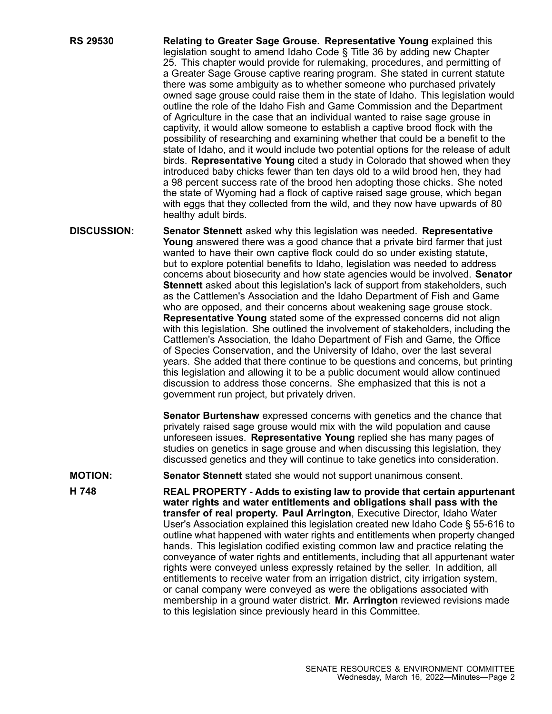- **RS 29530 Relating to Greater Sage Grouse. Representative Young** explained this legislation sought to amend Idaho Code § Title 36 by adding new Chapter 25. This chapter would provide for rulemaking, procedures, and permitting of <sup>a</sup> Greater Sage Grouse captive rearing program. She stated in current statute there was some ambiguity as to whether someone who purchased privately owned sage grouse could raise them in the state of Idaho. This legislation would outline the role of the Idaho Fish and Game Commission and the Department of Agriculture in the case that an individual wanted to raise sage grouse in captivity, it would allow someone to establish <sup>a</sup> captive brood flock with the possibility of researching and examining whether that could be <sup>a</sup> benefit to the state of Idaho, and it would include two potential options for the release of adult birds. **Representative Young** cited <sup>a</sup> study in Colorado that showed when they introduced baby chicks fewer than ten days old to <sup>a</sup> wild brood hen, they had <sup>a</sup> 98 percent success rate of the brood hen adopting those chicks. She noted the state of Wyoming had <sup>a</sup> flock of captive raised sage grouse, which began with eggs that they collected from the wild, and they now have upwards of 80 healthy adult birds.
- **DISCUSSION: Senator Stennett** asked why this legislation was needed. **Representative Young** answered there was <sup>a</sup> good chance that <sup>a</sup> private bird farmer that just wanted to have their own captive flock could do so under existing statute, but to explore potential benefits to Idaho, legislation was needed to address concerns about biosecurity and how state agencies would be involved. **Senator Stennett** asked about this legislation's lack of support from stakeholders, such as the Cattlemen's Association and the Idaho Department of Fish and Game who are opposed, and their concerns about weakening sage grouse stock. **Representative Young** stated some of the expressed concerns did not align with this legislation. She outlined the involvement of stakeholders, including the Cattlemen's Association, the Idaho Department of Fish and Game, the Office of Species Conservation, and the University of Idaho, over the last several years. She added that there continue to be questions and concerns, but printing this legislation and allowing it to be <sup>a</sup> public document would allow continued discussion to address those concerns. She emphasized that this is not <sup>a</sup> government run project, but privately driven.

**Senator Burtenshaw** expressed concerns with genetics and the chance that privately raised sage grouse would mix with the wild population and cause unforeseen issues. **Representative Young** replied she has many pages of studies on genetics in sage grouse and when discussing this legislation, they discussed genetics and they will continue to take genetics into consideration.

**MOTION: Senator Stennett** stated she would not support unanimous consent.

**H 748 REAL PROPERTY - Adds to existing law to provide that certain appurtenant water rights and water entitlements and obligations shall pass with the transfer of real property. Paul Arrington**, Executive Director, Idaho Water User's Association explained this legislation created new Idaho Code § 55-616 to outline what happened with water rights and entitlements when property changed hands. This legislation codified existing common law and practice relating the conveyance of water rights and entitlements, including that all appurtenant water rights were conveyed unless expressly retained by the seller. In addition, all entitlements to receive water from an irrigation district, city irrigation system, or canal company were conveyed as were the obligations associated with membership in <sup>a</sup> ground water district. **Mr. Arrington** reviewed revisions made to this legislation since previously heard in this Committee.